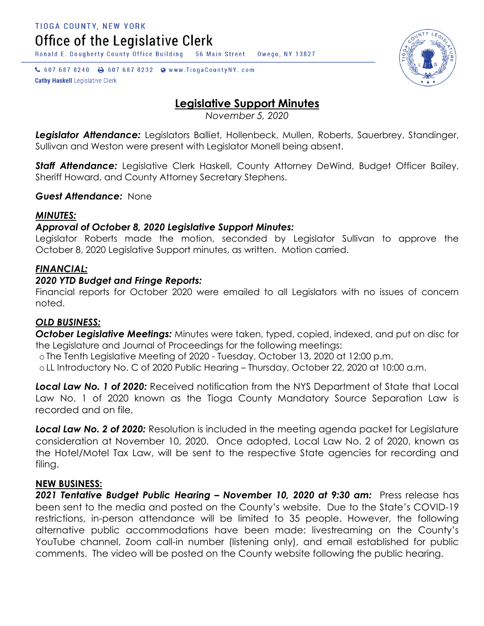Office of the Legislative Clerk

Ronald E. Dougherty County Office Building 56 Main Street Owego, NY 13827

↓ 607 687 8240 → 607 687 8232 → www.TiogaCountyNY.com **Cathy Haskell Legislative Clerk** 

# **Legislative Support Minutes**

*November 5, 2020*

*Legislator Attendance:* Legislators Balliet, Hollenbeck, Mullen, Roberts, Sauerbrey, Standinger, Sullivan and Weston were present with Legislator Monell being absent.

**Staff Attendance:** Legislative Clerk Haskell, County Attorney DeWind, Budget Officer Bailey, Sheriff Howard, and County Attorney Secretary Stephens.

# *Guest Attendance:* None

# *MINUTES:*

# *Approval of October 8, 2020 Legislative Support Minutes:*

Legislator Roberts made the motion, seconded by Legislator Sullivan to approve the October 8, 2020 Legislative Support minutes, as written. Motion carried.

# *FINANCIAL:*

# *2020 YTD Budget and Fringe Reports:*

Financial reports for October 2020 were emailed to all Legislators with no issues of concern noted.

### *OLD BUSINESS:*

*October Legislative Meetings:* Minutes were taken, typed, copied, indexed, and put on disc for the Legislature and Journal of Proceedings for the following meetings:

o The Tenth Legislative Meeting of 2020 - Tuesday, October 13, 2020 at 12:00 p.m.

o LL Introductory No. C of 2020 Public Hearing – Thursday, October 22, 2020 at 10:00 a.m.

*Local Law No. 1 of 2020:* Received notification from the NYS Department of State that Local Law No. 1 of 2020 known as the Tioga County Mandatory Source Separation Law is recorded and on file.

*Local Law No. 2 of 2020:* Resolution is included in the meeting agenda packet for Legislature consideration at November 10, 2020. Once adopted, Local Law No. 2 of 2020, known as the Hotel/Motel Tax Law, will be sent to the respective State agencies for recording and filing.

### **NEW BUSINESS:**

*2021 Tentative Budget Public Hearing – November 10, 2020 at 9:30 am:* Press release has been sent to the media and posted on the County's website. Due to the State's COVID-19 restrictions, in-person attendance will be limited to 35 people. However, the following alternative public accommodations have been made: livestreaming on the County's YouTube channel, Zoom call-in number (listening only), and email established for public comments. The video will be posted on the County website following the public hearing.